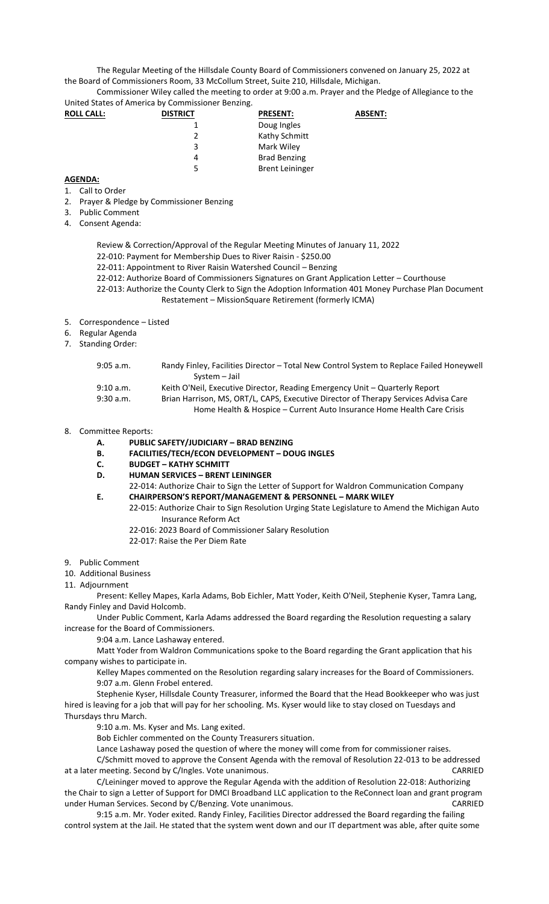The Regular Meeting of the Hillsdale County Board of Commissioners convened on January 25, 2022 at the Board of Commissioners Room, 33 McCollum Street, Suite 210, Hillsdale, Michigan.

Commissioner Wiley called the meeting to order at 9:00 a.m. Prayer and the Pledge of Allegiance to the United States of America by Commissioner Benzing.

| <b>ROLL CALL:</b> | <b>DISTRICT</b> | <b>PRESENT:</b>        | <b>ABSENT:</b> |
|-------------------|-----------------|------------------------|----------------|
|                   |                 | Doug Ingles            |                |
|                   | $\mathcal{P}$   | Kathy Schmitt          |                |
|                   | 3               | Mark Wiley             |                |
|                   | 4               | <b>Brad Benzing</b>    |                |
|                   | 5               | <b>Brent Leininger</b> |                |

## **AGENDA:**

- 1. Call to Order
- 2. Prayer & Pledge by Commissioner Benzing
- 3. Public Comment
- 4. Consent Agenda:
	- Review & Correction/Approval of the Regular Meeting Minutes of January 11, 2022
	- 22-010: Payment for Membership Dues to River Raisin \$250.00
	- 22-011: Appointment to River Raisin Watershed Council Benzing
	- 22-012: Authorize Board of Commissioners Signatures on Grant Application Letter Courthouse
	- 22-013: Authorize the County Clerk to Sign the Adoption Information 401 Money Purchase Plan Document Restatement – MissionSquare Retirement (formerly ICMA)
- 5. Correspondence Listed
- 6. Regular Agenda
- 7. Standing Order:

| Randy Finley, Facilities Director - Total New Control System to Replace Failed Honeywell |
|------------------------------------------------------------------------------------------|
| System - Jail                                                                            |
| Keith O'Neil, Executive Director, Reading Emergency Unit - Quarterly Report              |
| Brian Harrison, MS, ORT/L, CAPS, Executive Director of Therapy Services Advisa Care      |
| Home Health & Hospice - Current Auto Insurance Home Health Care Crisis                   |
|                                                                                          |

- 8. Committee Reports:
	- **A. PUBLIC SAFETY/JUDICIARY – BRAD BENZING**
	- **B. FACILITIES/TECH/ECON DEVELOPMENT – DOUG INGLES**
	- **C. BUDGET – KATHY SCHMITT**
	- **D. HUMAN SERVICES – BRENT LEININGER**
	- 22-014: Authorize Chair to Sign the Letter of Support for Waldron Communication Company **E. CHAIRPERSON'S REPORT/MANAGEMENT & PERSONNEL – MARK WILEY**
		- 22-015: Authorize Chair to Sign Resolution Urging State Legislature to Amend the Michigan Auto Insurance Reform Act
			- 22-016: 2023 Board of Commissioner Salary Resolution
			- 22-017: Raise the Per Diem Rate
- 9. Public Comment
- 10. Additional Business
- 11. Adjournment

Present: Kelley Mapes, Karla Adams, Bob Eichler, Matt Yoder, Keith O'Neil, Stephenie Kyser, Tamra Lang, Randy Finley and David Holcomb.

Under Public Comment, Karla Adams addressed the Board regarding the Resolution requesting a salary increase for the Board of Commissioners.

9:04 a.m. Lance Lashaway entered.

Matt Yoder from Waldron Communications spoke to the Board regarding the Grant application that his company wishes to participate in.

Kelley Mapes commented on the Resolution regarding salary increases for the Board of Commissioners. 9:07 a.m. Glenn Frobel entered.

Stephenie Kyser, Hillsdale County Treasurer, informed the Board that the Head Bookkeeper who was just hired is leaving for a job that will pay for her schooling. Ms. Kyser would like to stay closed on Tuesdays and Thursdays thru March.

9:10 a.m. Ms. Kyser and Ms. Lang exited.

Bob Eichler commented on the County Treasurers situation.

Lance Lashaway posed the question of where the money will come from for commissioner raises.

C/Schmitt moved to approve the Consent Agenda with the removal of Resolution 22-013 to be addressed at a later meeting. Second by C/Ingles. Vote unanimous. CARRIED

C/Leininger moved to approve the Regular Agenda with the addition of Resolution 22-018: Authorizing the Chair to sign a Letter of Support for DMCI Broadband LLC application to the ReConnect loan and grant program under Human Services. Second by C/Benzing. Vote unanimous. CARRIED

9:15 a.m. Mr. Yoder exited. Randy Finley, Facilities Director addressed the Board regarding the failing control system at the Jail. He stated that the system went down and our IT department was able, after quite some